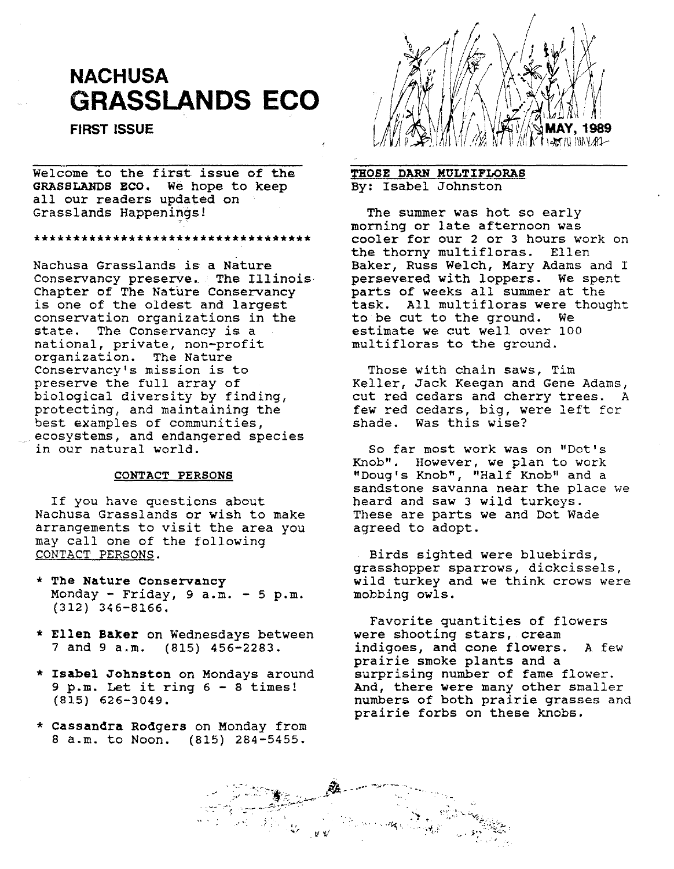# **NACHUSA GRASSLANDS ECO**

FIRST ISSUE

Welcome to the first issue of the GRASSLANDS ECO. We hope to keep all our readers updated on Grasslands Happenings!

\*\*\*\*\*\*\*\*\*\*\*\*\*\*\*\*\*\*\*\*\*\*\*\*\*\*\*\*\*\*\*\*\*\*\*\*\*

Nachusa Grasslands is a Nature Conservancy preserve. The Illinois-Chapter of The Nature Conservancy is one of the oldest and largest conservation organizations in the state. The Conservancy is a national, private, non-profit organization. The Nature Conservancy's mission is to preserve the full array of biological diversity by finding, protecting, and maintaining the best examples of communities, ecosystems, and endangered species in our natural world.

### CONTACT PERSONS

If you have questions about Nachusa Grasslands or wish to make arrangements to visit the area you may call one of the following CONTACT PERSONS.

- \* The Nature Conservancy Monday - Friday,  $9$  a.m. -  $5$  p.m. (312) 346-8166.
- \* Ellen Baker on Wednesdays between 7 and 9 a.m. (815) 456-2283.
- \* Isabel Johnston on Mondays around 9 p.m. Let it ring 6 - 8 times! (815) 626-3049.
- \* Cassandra Rodgers on Monday from 8 a.m. to Noon. (815) 284-5455.



# THOSE DARN MULTIFLORAS By: Isabel Johnston

The summer was hot so early morning or late afternoon was cooler for our 2 or 3 hours work on the thorny multifloras. Ellen Baker, Russ Welch, Mary Adams and I persevered with loppers. We spent parts of weeks all summer at the task. All multifloras were thought to be cut to the ground. We estimate we cut well over 100 multifloras to the ground.

Those with chain saws, Tim Keller, Jack Keegan and Gene Adams, cut red cedars and cherry trees. A few red cedars, big, were left for shade. Was this wise?

So far most work was on "Dot's Knob". However, we plan to work "Doug'S Knob", "Half Knob" and a sandstone savanna near the place we heard and saw 3 wild turkeys. These are parts we and Dot Wade agreed to adopt.

Birds sighted were bluebirds, grasshopper sparrows, dickcissels, wild turkey and we think crows were mobbing owls.

Favorite quantities of flowers were shooting stars, cream indigoes, and cone flowers. A few prairie smoke plants and a surprising number of fame flower. And, there were many other smaller numbers of both prairie grasses and prairie forbs on these knobs.

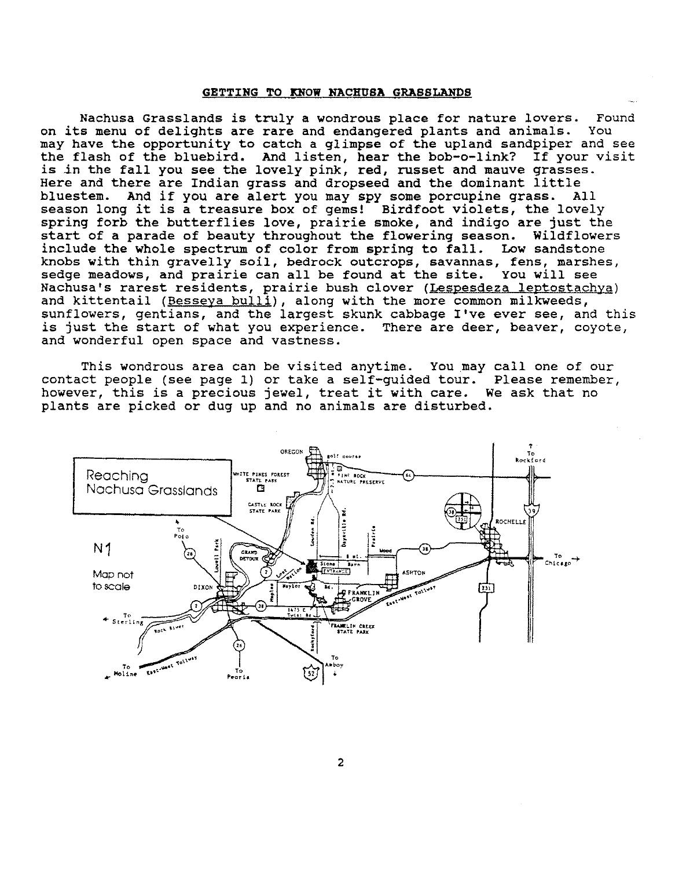#### GETTING TO KNOW NACHUSA GRASSLANDS

Nachusa Grasslands *is* truly a wondrous place for nature lovers. Found on its menu of delights are rare and endangered plants and animals. You may have the opportunity to catch a glimpse of the upland sandpiper and see the flash of the bluebird. And listen, hear the bob-o-link? If your visit is in the fall you see the lovely pink, red, russet and mauve grasses. Here and there are Indian grass and dropseed and the dominant little bluestem. And if you are alert you may spy some porcupine grass. All season long it *is* a treasure box of gems! Birdfoot violets, the lovely spring forb the butterflies love, prairie smoke, and indigo are just the start of a parade of beauty throughout the flowering season. Wildflowers include the whole spectrum of color from spring to fall. Low sandstone knobs with thin gravelly soil, bedrock outcrops, savannas, fens, marshes, sedge meadows, and prairie can all be found at the site. You will see Nachusa's rarest residents, prairie bush clover (Lespesdeza leptostachya) and kittentail (Besseya bulli), along with the more common milkweeds, sunflowers, gentians, and the largest skunk cabbage I've ever see, and this is just the start of what you experience. There are deer, beaver, coyote, and wonderful open space and vastness.

This wondrous area can be visited anytime. You may call one of our contact people (see page 1) or take a self-guided tour. Please remember, however, this is a precious jewel, treat it with care. We ask that no plants are picked or dug up and no animals are disturbed.



2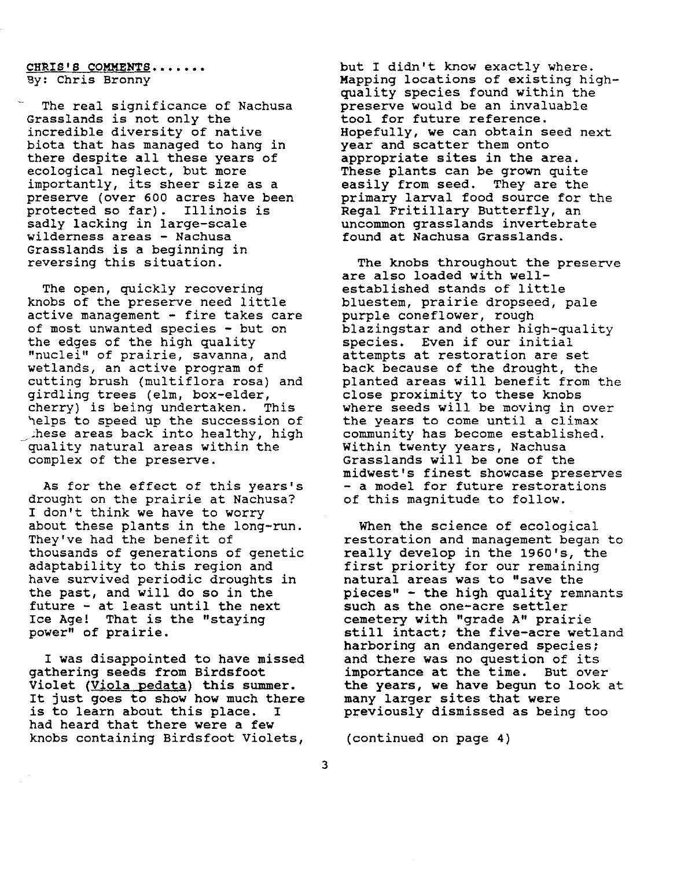## CHRIS'S COMMENTS....... By: Chris Bronny

The real significance of Nachusa Grasslands is not only the incredible diversity of native biota that has managed to hang in there despite all these years of ecological neglect, but more importantly, its sheer size as a preserve (over 600 acres have been protected so far). Illinois is sadly lacking in large-scale wilderness areas - Nachusa Grasslands is a beginning in reversing this situation.

The open, quickly recovering knobs of the preserve need little active management - fire takes care of most unwanted species - but on the edges of the high quality "nuclei" of prairie, savanna, and wetlands, an active program of cutting brush (multiflora rosa) and girdling trees (elm, box-elder, cherry) is being undertaken. This helps to speed up the succession of these areas back into healthy, high quality natural areas within the complex of the preserve.

As for the effect of this years's drought on the prairie at Nachusa? I don't think we have to worry about these plants in the long-run. They've had the benefit of thousands of generations of genetic adaptability to this region and have survived periodic droughts in the past, and will do so in the future - at least until the next Ice Age! That is the "staying power" of prairie.

I was disappointed to have missed gathering seeds from Birdsfoot Violet (Viola pedata) this summer. It just goes to show how much there is to learn about this place. I had heard that there were a few knobs containing Birdsfoot Violets,

but I didn't know exactly where. Mapping locations of existing highquality species found within the preserve would be an invaluable tool for future reference. Hopefully, we can obtain seed next year and scatter them onto appropriate sites in the area. These plants can be grown quite easily from seed. They are the primary larval food source for the Regal Fritillary Butterfly, an uncommon grasslands invertebrate found at Nachusa Grasslands.

The knobs throughout the preserve are also loaded with wellestablished stands of little bluestem, prairie dropseed, pale purple coneflower, rough blazingstar and other high-quality species. Even if our initial attempts at restoration are set back because of the drought, the planted areas will benefit from the close proximity to these knobs where seeds will be moving in over the years to come until a climax community has become established. Within twenty years, Nachusa Grasslands will be one of the midwest's finest showcase preserves - a model for future restorations of this magnitude to follow.

When the science of ecological restoration and management began to really develop in the 1960's, the first priority for our remaining natural areas was to "save the pieces" - the high quality remnants such as the one-acre settler cemetery with "grade A" prairie still intact; the five-acre wetland harboring an endangered species; and there was no question of its importance at the time. But over the years, we have begun to look at many larger sites that were previously dismissed as being too

(continued on page 4)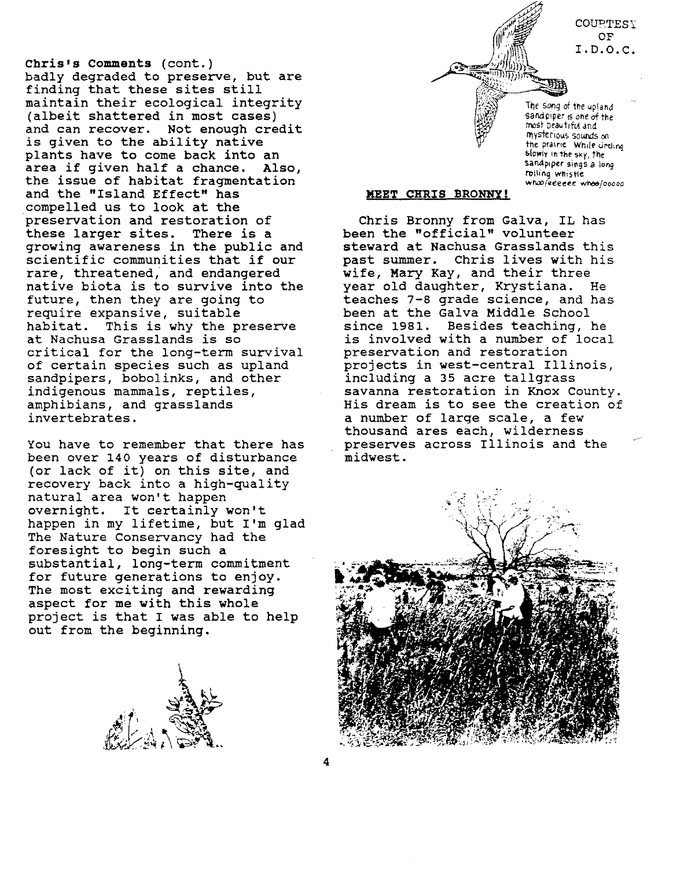COUPTESY OF I.D.O.C.

Chris's Comments (cont.) badly degraded to preserve, but are finding that these sites still maintain their ecological integrity (albeit shattered in most cases) and can recover. Not enough credit is given to the ability native plants have to come back into an area if given half a chance. Also, the issue of habitat fragmentation and the "Island Effect" has compelled us to look at the preservation and restoration of these larger sites. There is a growing awareness in the public and scientific communities that if our rare, threatened,' and endangered native biota is to survive into the future, then they are going to require expansive, suitable habitat. This is why the preserve at Nachusa Grasslands is so critical for the long-term survival of certain species such as upland sandpipers, bobolinks, and other indigenous mammals, reptiles, amphibians, and grasslands invertebrates.

You have to remember that there has been over 140 years of disturbance (or lack of it) on this site, and recovery back into a high-quality natural area won't happen overnight. It certainly won't happen in my lifetime, but I'm glad The Nature Conservancy had the foresight to begin such a substantial, long-term commitment for future generations to enjoy. The most exciting and rewarding aspect for me with this whole project is that I was able to help out from the beginning.



The song of the upland sandpiper is one of the most beautlfvi dnd rllysterious sounds *on* the prairie While ureling Slowly in the sky, the sandpiper sings *a* iong rolling whistle *wha>/eeeeee w'res/ooooo*

#### **MEET** CHRIS BRONNY!

Chris Bronny from Galva, IL has been the "official" volunteer steward at Nachusa Grasslands this past summer. Chris lives with his wife, Mary Kay, and their three year old daughter, Krystiana. He teaches 7-8 grade science, and has been at the Galva Middle School since 1981. Besides teaching, he is involved with a number of local preservation and restoration projects in west-central Illinois, including a 35 acre tallgrass savanna restoration in Knox County. His dream is to see the creation of a number of large scale, a few thousand ares each, wilderness preserves across Illinois and the midwest.

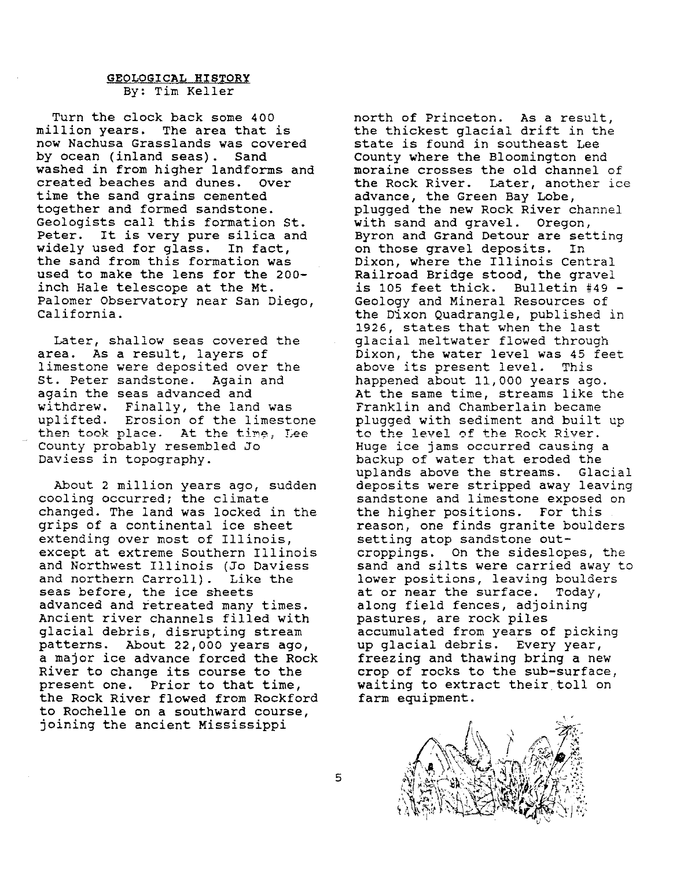## GEOLOGICAL HISTORY By: Tim Keller

Turn the clock back some 400 million years. The area that is now Nachusa Grasslands was covered by ocean (inland seas). Sand washed in from higher landforms and created beaches and dunes. Over time the sand grains cemented together and formed sandstone. Geologists call this formation st. Peter. It is very pure silica and widely used for glass. In fact, the sand from this formation was used to make the lens for the 200 inch Hale telescope at the Mt. Palomer Observatory near San Diego, California.

Later, shallow seas covered the area. As a result, layers of limestone were deposited over the st. Peter sandstone. Again and again the seas advanced and withdrew. Finally, the land was uplifted. Erosion of the limestone then took place. At the time, Lee County probably resembled Jo Daviess in topography.

About 2 million years ago, sudden cooling occurred; the climate changed. The land was locked in the grips of a continental ice sheet extending over most of Illinois, except at extreme Southern Illinois and Northwest Illinois (Jo Daviess<br>and northern Carroll). Like the and northern Carroll). seas before, the ice sheets advanced and retreated many times. Ancient river channels filled with glacial debris, disrupting stream patterns. About 22,000 years ago, a major ice advance forced the Rock River to change its course to the present one. Prior to that time, the Rock River flowed from Rockford to Rochelle on a southward course, joining the ancient Mississippi

north of Princeton. As a result, the thickest glacial drift in the state is found in southeast Lee County where the Bloomington end moraine crosses the old channel of the Rock River. Later, another ice advance, the Green Bay Lobe, plugged the new Rock River channel with sand and gravel. Oregon, Byron and Grand Detour are setting on those gravel deposits. In Dixon, where the Illinois Central Railroad Bridge stood, the gravel is 105 feet thick. Bulletin #49 - Geology and Mineral Resources of the Dixon Quadrangle, published in 1926, states that when the last glacial meltwater flowed through Dixon, the water level was 45 feet above its present level. This happened about 11,000 years ago. At the same time, streams like the Franklin and Chamberlain became plugged with sediment and built up to the level of the Rock River. Huge ice jams occurred causing a backup of water that eroded the uplands above the streams. Glacial deposits were stripped away leaving sandstone and limestone exposed on the higher positions. For this reason, one finds granite boulders setting atop sandstone outcroppings. On the sideslopes, the sand and silts were carried away to lower positions, leaving boulders at or near the surface. Today, along field fences, adjoining pastures, are rock piles accumulated from years of picking up glacial debris. Every year, freezing and thawing bring a new crop of rocks to the sub-surface, waiting to extract their toll on farm equipment.